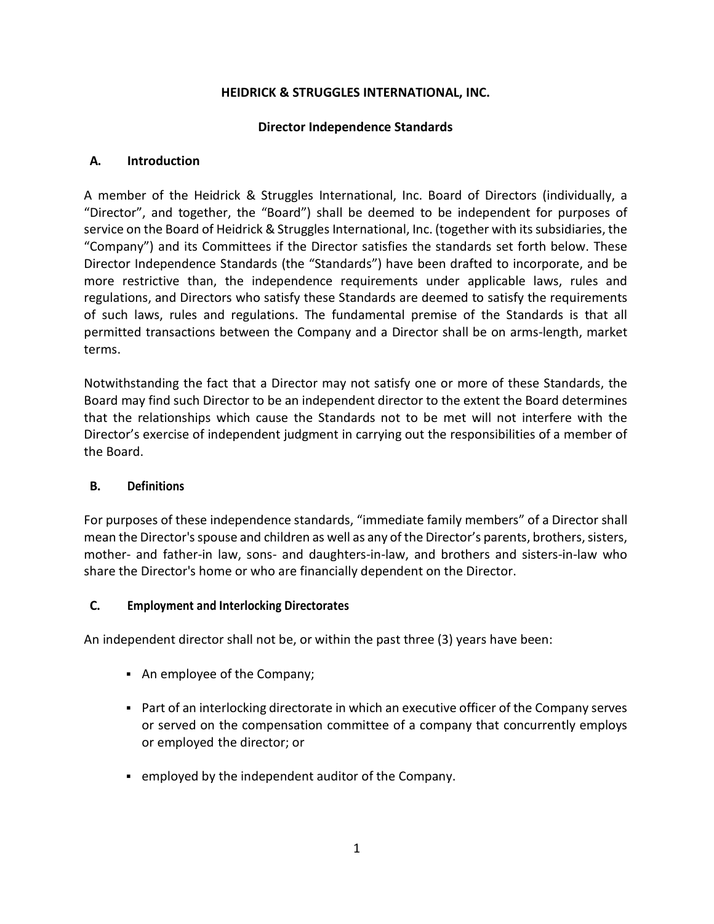### **HEIDRICK & STRUGGLES INTERNATIONAL, INC.**

#### **Director Independence Standards**

### **A. Introduction**

A member of the Heidrick & Struggles International, Inc. Board of Directors (individually, a "Director", and together, the "Board") shall be deemed to be independent for purposes of service on the Board of Heidrick & Struggles International, Inc. (together with its subsidiaries, the "Company") and its Committees if the Director satisfies the standards set forth below. These Director Independence Standards (the "Standards") have been drafted to incorporate, and be more restrictive than, the independence requirements under applicable laws, rules and regulations, and Directors who satisfy these Standards are deemed to satisfy the requirements of such laws, rules and regulations. The fundamental premise of the Standards is that all permitted transactions between the Company and a Director shall be on arms-length, market terms.

Notwithstanding the fact that a Director may not satisfy one or more of these Standards, the Board may find such Director to be an independent director to the extent the Board determines that the relationships which cause the Standards not to be met will not interfere with the Director's exercise of independent judgment in carrying out the responsibilities of a member of the Board.

### **B. Definitions**

For purposes of these independence standards, "immediate family members" of a Director shall mean the Director's spouse and children as well as any of the Director's parents, brothers, sisters, mother- and father-in law, sons- and daughters-in-law, and brothers and sisters-in-law who share the Director's home or who are financially dependent on the Director.

### **C. Employment and Interlocking Directorates**

An independent director shall not be, or within the past three (3) years have been:

- An employee of the Company;
- Part of an interlocking directorate in which an executive officer of the Company serves or served on the compensation committee of a company that concurrently employs or employed the director; or
- employed by the independent auditor of the Company.